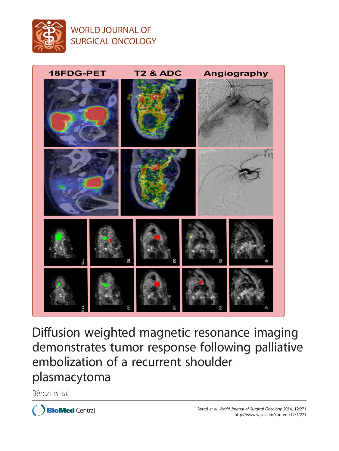

## WORLD JOURNAL OF SURGICAL ONCOLOGY



Diffusion weighted magnetic resonance imaging demonstrates tumor response following palliative embolization of a recurrent shoulder plasmacytoma

Bérczi et al.

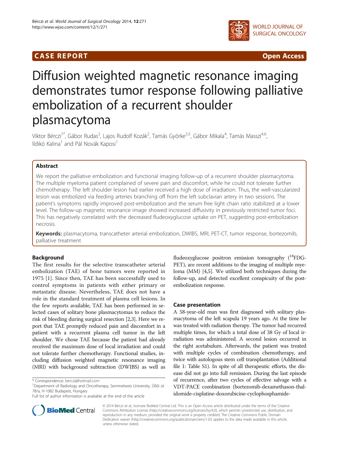### **CASE REPORT CASE REPORT CASE REPORT**



# Diffusion weighted magnetic resonance imaging demonstrates tumor response following palliative embolization of a recurrent shoulder plasmacytoma

Viktor Bérczi<sup>1\*</sup>, Gábor Rudas<sup>2</sup>, Lajos Rudolf Kozák<sup>2</sup>, Tamás Györke<sup>3,5</sup>, Gábor Mikala<sup>4</sup>, Tamás Masszi<sup>4,6</sup>, Ildikó Kalina<sup>1</sup> and Pál Novák Kaposi<sup>1</sup>

#### Abstract

We report the palliative embolization and functional imaging follow-up of a recurrent shoulder plasmacytoma. The multiple myeloma patient complained of severe pain and discomfort, while he could not tolerate further chemotherapy. The left shoulder lesion had earlier received a high dose of irradiation. Thus, the well-vascularized lesion was embolized via feeding arteries branching off from the left subclavian artery in two sessions. The patient's symptoms rapidly improved post-embolization and the serum free light chain ratio stabilized at a lower level. The follow-up magnetic resonance image showed increased diffusivity in previously restricted tumor foci. This has negatively correlated with the decreased fludeoxyglucose uptake on PET, suggesting post-embolization necrosis.

Keywords: plasmacytoma, transcatheter arterial embolization, DWIBS, MRI, PET-CT, tumor response, bortezomib, palliative treatment

#### Background

The first results for the selective transcatheter arterial embolization (TAE) of bone tumors were reported in 1975 [\[1](#page-4-0)]. Since then, TAE has been successfully used to control symptoms in patients with either primary or metastatic disease. Nevertheless, TAE does not have a role in the standard treatment of plasma cell lesions. In the few reports available, TAE has been performed in selected cases of solitary bone plasmacytomas to reduce the risk of bleeding during surgical resection [[2,3](#page-4-0)]. Here we report that TAE promptly reduced pain and discomfort in a patient with a recurrent plasma cell tumor in the left shoulder. We chose TAE because the patient had already received the maximum dose of local irradiation and could not tolerate further chemotherapy. Functional studies, including diffusion weighted magnetic resonance imaging (MRI) with background subtraction (DWIBS) as well as



#### Case presentation

A 58-year-old man was first diagnosed with solitary plasmacytoma of the left scapula 19 years ago. At the time he was treated with radiation therapy. The tumor had recurred multiple times, for which a total dose of 38 Gy of local irradiation was administered. A second lesion occurred in the right acetabulum. Afterwards, the patient was treated with multiple cycles of combination chemotherapy, and twice with autologous stem cell transplantation (Additional file [1:](#page-4-0) Table S1). In spite of all therapeutic efforts, the disease did not go into full remission. During the last episode of recurrence, after two cycles of effective salvage with a VDT-PACE combination (bortezomib-dexamethason-thalidomide-cisplatine-doxorubicine-cyclophosphamide-



© 2014 Bérczi et al.; licensee BioMed Central Ltd. This is an Open Access article distributed under the terms of the Creative Commons Attribution License [\(http://creativecommons.org/licenses/by/4.0\)](http://creativecommons.org/licenses/by/4.0), which permits unrestricted use, distribution, and reproduction in any medium, provided the original work is properly credited. The Creative Commons Public Domain Dedication waiver [\(http://creativecommons.org/publicdomain/zero/1.0/](http://creativecommons.org/publicdomain/zero/1.0/)) applies to the data made available in this article, unless otherwise stated.

<sup>\*</sup> Correspondence: [berczi@hotmail.com](mailto:berczi@hotmail.com) <sup>1</sup>

Department of Radiology and Oncotherapy, Semmelweis University, Üllői út 78/a, H-1082 Budapest, Hungary

Full list of author information is available at the end of the article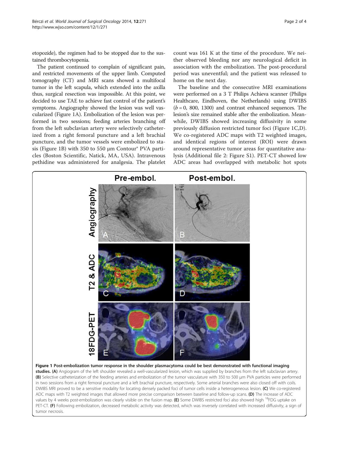<span id="page-2-0"></span>etopozide), the regimen had to be stopped due to the sustained thrombocytopenia.

The patient continued to complain of significant pain, and restricted movements of the upper limb. Computed tomography (CT) and MRI scans showed a multifocal tumor in the left scapula, which extended into the axilla thus, surgical resection was impossible. At this point, we decided to use TAE to achieve fast control of the patient's symptoms. Angiography showed the lesion was well vascularized (Figure 1A). Embolization of the lesion was performed in two sessions; feeding arteries branching off from the left subclavian artery were selectively catheterized from a right femoral puncture and a left brachial puncture, and the tumor vessels were embolized to stasis (Figure 1B) with 350 to 550 μm Contour® PVA particles (Boston Scientific, Natick, MA, USA). Intravenous pethidine was administered for analgesia. The platelet

count was 161 K at the time of the procedure. We neither observed bleeding nor any neurological deficit in association with the embolization. The post-procedural period was uneventful; and the patient was released to home on the next day.

The baseline and the consecutive MRI examinations were performed on a 3 T Philips Achieva scanner (Philips Healthcare, Eindhoven, the Netherlands) using DWIBS  $(b = 0, 800, 1300)$  and contrast enhanced sequences. The lesion's size remained stable after the embolization. Meanwhile, DWIBS showed increasing diffusivity in some previously diffusion restricted tumor foci (Figure 1C,D). We co-registered ADC maps with T2 weighted images, and identical regions of interest (ROI) were drawn around representative tumor areas for quantitative analysis (Additional file [2:](#page-4-0) Figure S1). PET-CT showed low ADC areas had overlapped with metabolic hot spots

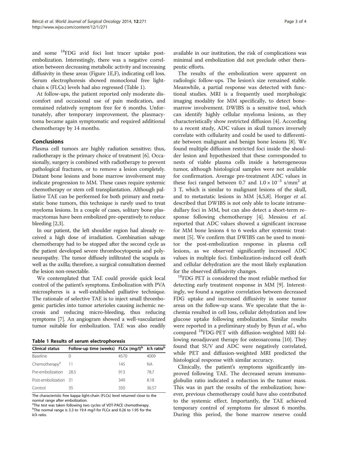and some 18FDG avid foci lost tracer uptake postembolization. Interestingly, there was a negative correlation between decreasing metabolic activity and increasing diffusivity in these areas (Figure [1](#page-2-0)E,F), indicating cell loss. Serum electrophoresis showed monoclonal free lightchain κ (FLCκ) levels had also regressed (Table 1).

At follow-ups, the patient reported only moderate discomfort and occasional use of pain medication, and remained relatively symptom free for 6 months. Unfortunately, after temporary improvement, the plasmacytoma became again symptomatic and required additional chemotherapy by 14 months.

#### Conclusions

Plasma cell tumors are highly radiation sensitive; thus, radiotherapy is the primary choice of treatment [[6](#page-4-0)]. Occasionally, surgery is combined with radiotherapy to prevent pathological fractures, or to remove a lesion completely. Distant bone lesions and bone marrow involvement may indicate progression to MM. These cases require systemic chemotherapy or stem cell transplantation. Although palliative TAE can be performed for both primary and metastatic bone tumors, this technique is rarely used to treat myeloma lesions. In a couple of cases, solitary bone plasmacytomas have been embolized pre-operatively to reduce bleeding [\[2,3\]](#page-4-0).

In our patient, the left shoulder region had already received a high dose of irradiation. Combination salvage chemotherapy had to be stopped after the second cycle as the patient developed severe thrombocytopenia and polyneuropathy. The tumor diffusely infiltrated the scapula as well as the axilla; therefore, a surgical consultation deemed the lesion non-resectable.

We contemplated that TAE could provide quick local control of the patient's symptoms. Embolization with PVA microspheres is a well-established palliative technique. The rationale of selective TAE is to inject small thrombogenic particles into tumor arterioles causing ischemic necrosis and reducing micro-bleeding, thus reducing symptoms [[7](#page-4-0)]. An angiogram showed a well-vascularized tumor suitable for embolization. TAE was also readily

Table 1 Results of serum electrophoresis

| <b>Clinical status</b>    | Follow-up time (weeks) FLCK (mg/l) <sup>b</sup> $k/\lambda$ ratio <sup>b</sup> |      |       |
|---------------------------|--------------------------------------------------------------------------------|------|-------|
| Baseline                  |                                                                                | 4570 | 4009  |
| Chemotherapy <sup>a</sup> |                                                                                | 145  | NА    |
| Pre-embolization          | 285                                                                            | 913  | 78.7  |
| Post-embolization 31      |                                                                                | 349  | 8.18  |
| Control                   | 35                                                                             | 350  | 36.57 |

The characteristic free kappa light-chain (FLCκ) level returned close to the normal range after embolization.

<sup>a</sup>The test was taken following two cycles of VDT-PACE chemotherapy. bThe normal range is 3.3 to 19.4 mg/l for FLCk and 0.26 to 1.95 for the k/λ ratio.

available in our institution, the risk of complications was minimal and embolization did not preclude other therapeutic efforts.

The results of the embolization were apparent on radiologic follow-ups. The lesion's size remained stable. Meanwhile, a partial response was detected with functional studies. MRI is a frequently used morphologic imaging modality for MM specifically, to detect bonemarrow involvement. DWIBS is a sensitive tool, which can identify highly cellular myeloma lesions, as they characteristically show restricted diffusion [\[4\]](#page-4-0). According to a recent study, ADC values in skull tumors inversely correlate with cellularity and could be used to differentiate between malignant and benign bone lesions [\[8](#page-4-0)]. We found multiple diffusion restricted foci inside the shoulder lesion and hypothesized that these corresponded to nests of viable plasma cells inside a heterogeneous tumor, although histological samples were not available for confirmation. Average pre-treatment ADC values in these foci ranged between 0.7 and  $1.0 \times 10^{-3}$  s/mm<sup>2</sup> at 3 T, which is similar to malignant lesions of the skull, and to metastatic lesions in MM [[4,5,8](#page-4-0)]. Horger et al. described that DWIBS is not only able to locate intramedullary foci in MM, but can also detect a short-term response following chemotherapy [\[4\]](#page-4-0). Messiou et al. reported that ADC values showed a significant increase for MM bone lesions 4 to 6 weeks after systemic treatment [\[5\]](#page-4-0). We confirm that DWIBS can be used to monitor the post-embolization response in plasma cell lesions, as we observed significantly increased ADC values in multiple foci. Embolization-induced cell death and cellular dehydration are the most likely explanation for the observed diffusivity changes.<br><sup>18</sup>FDG PET is considered the most reliable method for

detecting early treatment response in MM [[9\]](#page-4-0). Interestingly, we found a negative correlation between decreased FDG uptake and increased diffusivity in some tumor areas on the follow-up scans. We speculate that the ischemia resulted in cell loss, cellular dehydration and low glucose uptake following embolization. Similar results were reported in a preliminary study by Byun et al., who compared 18FDG-PET with diffusion-weighted MRI following neoadjuvant therapy for osteosarcoma [[10](#page-4-0)]. They found that SUV and ADC were negatively correlated, while PET and diffusion-weighted MRI predicted the histological response with similar accuracy.

Clinically, the patient's symptoms significantly improved following TAE. The decreased serum immunoglobulin ratio indicated a reduction in the tumor mass. This was in part the results of the embolization; however, previous chemotherapy could have also contributed to the systemic effect. Importantly, the TAE achieved temporary control of symptoms for almost 6 months. During this period, the bone marrow reserve could